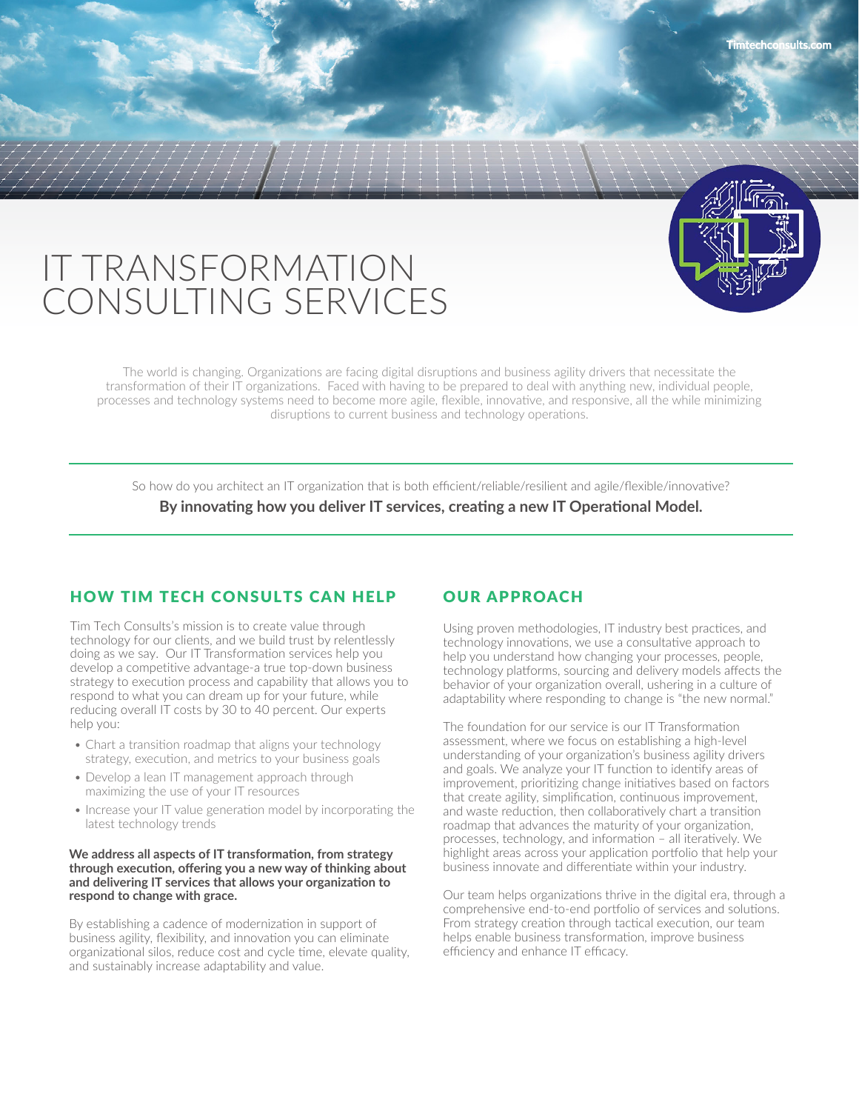# IT TRANSFORMATION CONSULTING SERVICES

The world is changing. Organizations are facing digital disruptions and business agility drivers that necessitate the transformation of their IT organizations. Faced with having to be prepared to deal with anything new, individual people, processes and technology systems need to become more agile, flexible, innovative, and responsive, all the while minimizing disruptions to current business and technology operations.

So how do you architect an IT organization that is both efficient/reliable/resilient and agile/flexible/innovative?

#### **By innovating how you deliver IT services, creating a new IT Operational Model.**

# HOW TIM TECH CONSULTS CAN HELP

Tim Tech Consults's mission is to create value through technology for our clients, and we build trust by relentlessly doing as we say. Our IT Transformation services help you develop a competitive advantage-a true top-down business strategy to execution process and capability that allows you to respond to what you can dream up for your future, while reducing overall IT costs by 30 to 40 percent. Our experts help you:

- Chart a transition roadmap that aligns your technology strategy, execution, and metrics to your business goals
- Develop a lean IT management approach through maximizing the use of your IT resources
- Increase your IT value generation model by incorporating the latest technology trends

#### **We address all aspects of IT transformation, from strategy through execution, offering you a new way of thinking about and delivering IT services that allows your organization to respond to change with grace.**

By establishing a cadence of modernization in support of business agility, flexibility, and innovation you can eliminate organizational silos, reduce cost and cycle time, elevate quality, and sustainably increase adaptability and value.

# OUR APPROACH

Using proven methodologies, IT industry best practices, and technology innovations, we use a consultative approach to help you understand how changing your processes, people, technology platforms, sourcing and delivery models affects the behavior of your organization overall, ushering in a culture of adaptability where responding to change is "the new normal."

The foundation for our service is our IT Transformation assessment, where we focus on establishing a high-level understanding of your organization's business agility drivers and goals. We analyze your IT function to identify areas of improvement, prioritizing change initiatives based on factors that create agility, simplification, continuous improvement, and waste reduction, then collaboratively chart a transition roadmap that advances the maturity of your organization, processes, technology, and information – all iteratively. We highlight areas across your application portfolio that help your business innovate and differentiate within your industry.

Our team helps organizations thrive in the digital era, through a comprehensive end-to-end portfolio of services and solutions. From strategy creation through tactical execution, our team helps enable business transformation, improve business efficiency and enhance IT efficacy.

**Timtechconsults.com**